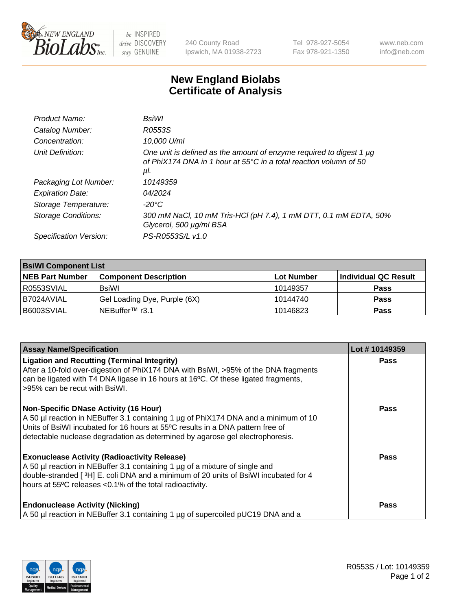

 $be$  INSPIRED drive DISCOVERY stay GENUINE

240 County Road Ipswich, MA 01938-2723 Tel 978-927-5054 Fax 978-921-1350 www.neb.com info@neb.com

## **New England Biolabs Certificate of Analysis**

| Product Name:           | BsiWl                                                                                                                                                     |
|-------------------------|-----------------------------------------------------------------------------------------------------------------------------------------------------------|
| Catalog Number:         | R0553S                                                                                                                                                    |
| Concentration:          | 10,000 U/ml                                                                                                                                               |
| Unit Definition:        | One unit is defined as the amount of enzyme required to digest 1 µg<br>of PhiX174 DNA in 1 hour at $55^{\circ}$ C in a total reaction volumn of 50<br>μl. |
| Packaging Lot Number:   | 10149359                                                                                                                                                  |
| <b>Expiration Date:</b> | 04/2024                                                                                                                                                   |
| Storage Temperature:    | -20°C                                                                                                                                                     |
| Storage Conditions:     | 300 mM NaCl, 10 mM Tris-HCl (pH 7.4), 1 mM DTT, 0.1 mM EDTA, 50%<br>Glycerol, 500 µg/ml BSA                                                               |
| Specification Version:  | PS-R0553S/L v1.0                                                                                                                                          |

| <b>BsiWI Component List</b> |                              |             |                      |  |
|-----------------------------|------------------------------|-------------|----------------------|--|
| <b>NEB Part Number</b>      | <b>Component Description</b> | ∣Lot Number | Individual QC Result |  |
| R0553SVIAL                  | BsiWl                        | 10149357    | <b>Pass</b>          |  |
| B7024AVIAL                  | Gel Loading Dye, Purple (6X) | 10144740    | <b>Pass</b>          |  |
| B6003SVIAL                  | INEBuffer™ r3.1              | 10146823    | <b>Pass</b>          |  |

| <b>Assay Name/Specification</b>                                                                                                                                                                                                                                                                        | Lot #10149359 |
|--------------------------------------------------------------------------------------------------------------------------------------------------------------------------------------------------------------------------------------------------------------------------------------------------------|---------------|
| <b>Ligation and Recutting (Terminal Integrity)</b><br>After a 10-fold over-digestion of PhiX174 DNA with BsiWI, >95% of the DNA fragments<br>can be ligated with T4 DNA ligase in 16 hours at 16°C. Of these ligated fragments,<br>>95% can be recut with BsiWI.                                       | <b>Pass</b>   |
| <b>Non-Specific DNase Activity (16 Hour)</b><br>A 50 µl reaction in NEBuffer 3.1 containing 1 µg of PhiX174 DNA and a minimum of 10<br>Units of BsiWI incubated for 16 hours at 55°C results in a DNA pattern free of<br>detectable nuclease degradation as determined by agarose gel electrophoresis. | <b>Pass</b>   |
| <b>Exonuclease Activity (Radioactivity Release)</b><br>A 50 µl reaction in NEBuffer 3.1 containing 1 µg of a mixture of single and<br>double-stranded [3H] E. coli DNA and a minimum of 20 units of BsiWI incubated for 4<br>hours at 55°C releases <0.1% of the total radioactivity.                  | Pass          |
| <b>Endonuclease Activity (Nicking)</b><br>A 50 µl reaction in NEBuffer 3.1 containing 1 µg of supercoiled pUC19 DNA and a                                                                                                                                                                              | Pass          |